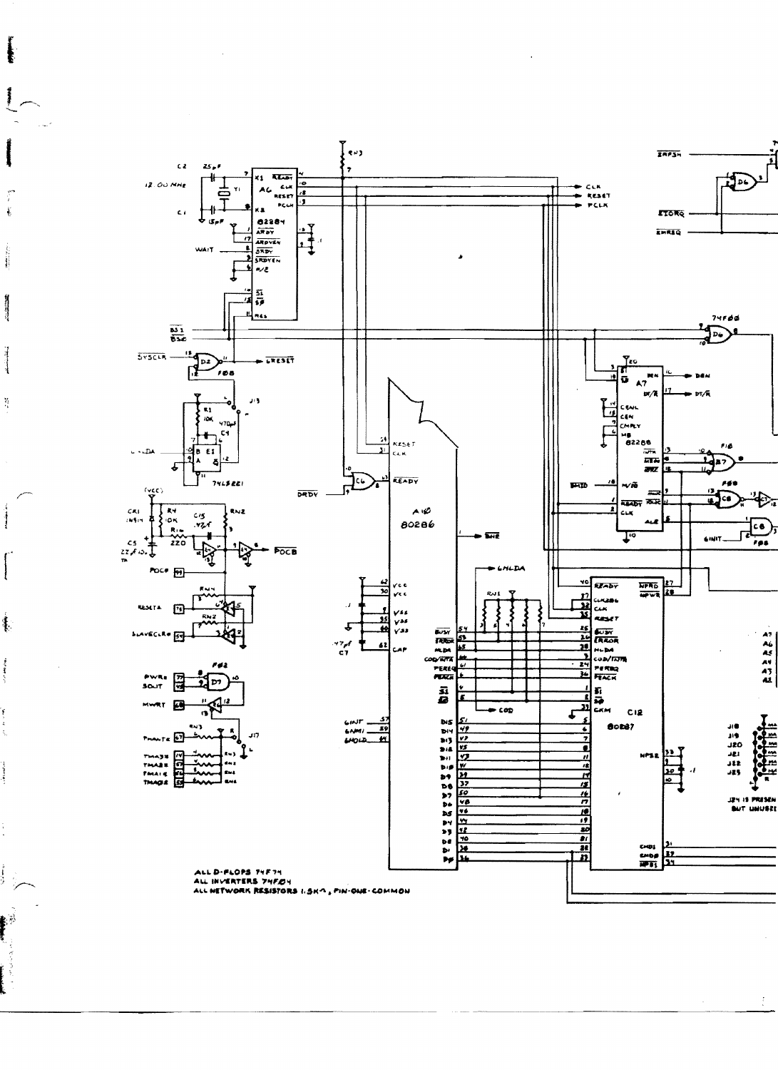

 $\ddot{\ast}$ 

主任

 $\frac{\Delta_{\rm{B}}^2}{\Delta_{\rm{B}}^2}$ 

 $\frac{1}{2}$ 

 $\mathbf{I}$ 

集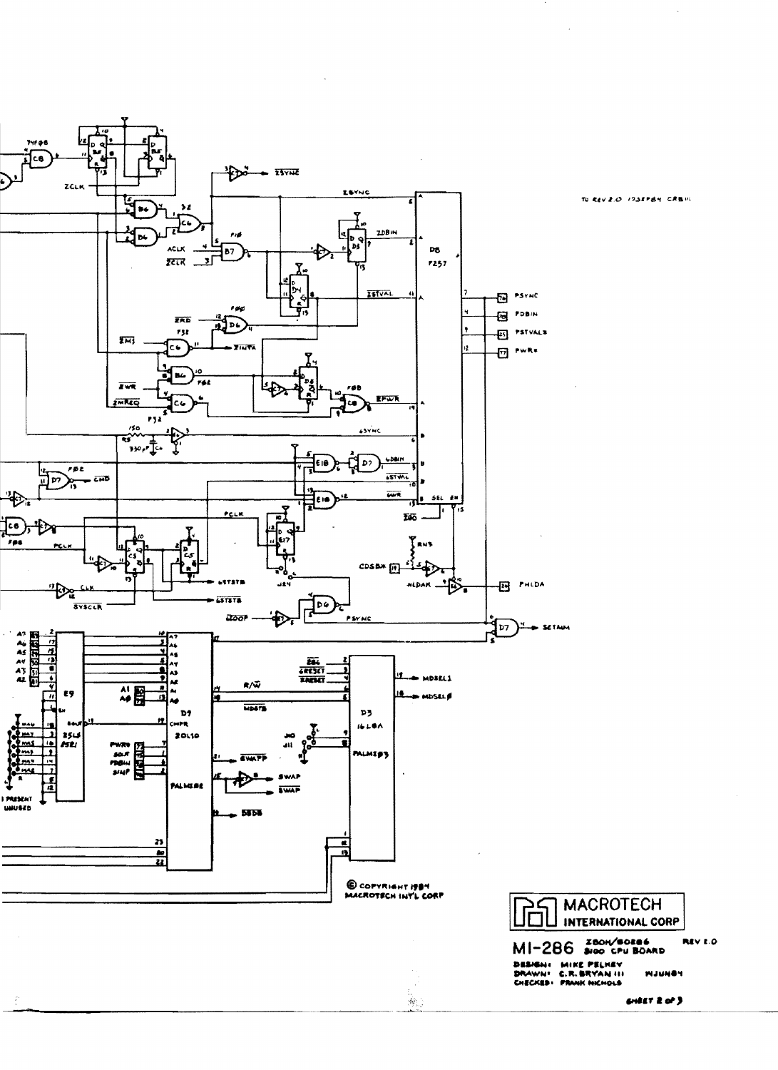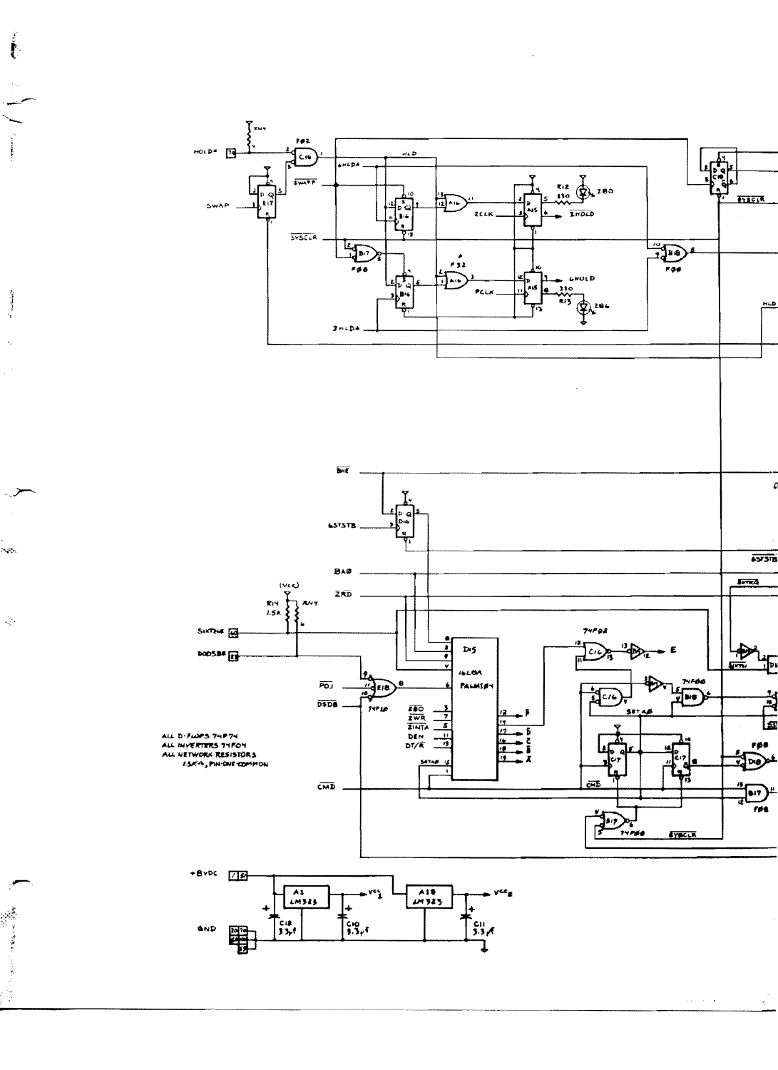

**Allen Contract Contract Contract Contract Contract Contract Contract Contract Contract Contract Contract Contract Contract Contract Contract Contract Contract Contract Contract Contract Contract Contract Contract Contract** 

 $\frac{1}{\sqrt{2}}$ 

 $\label{eq:2} \begin{array}{l} \displaystyle \mathcal{L}_{\mathcal{A}}(\mathcal{A})=\mathcal{L}_{\mathcal{A}}(\mathcal{A})\mathcal{A}^{\dagger}_{\mathcal{A}}(\mathcal{A})\\ \displaystyle \mathcal{L}_{\mathcal{A}}(\mathcal{A})=\mathcal{L}_{\mathcal{A}}(\mathcal{A})\mathcal{A}^{\dagger}_{\mathcal{A}}(\mathcal{A})\mathcal{A}^{\dagger}_{\mathcal{A}}(\mathcal{A})\\ \displaystyle \mathcal{L}_{\mathcal{A}}(\mathcal{A})=\mathcal{L}_{\mathcal{A}}(\mathcal{A})\mathcal{A}^{\dagger}_{\mathcal{A}}(\$ 

**Alustra** 

 $\mathbf{v}^{\pm}_{\mathbf{v}}$ 

 $\mathcal{L}_1$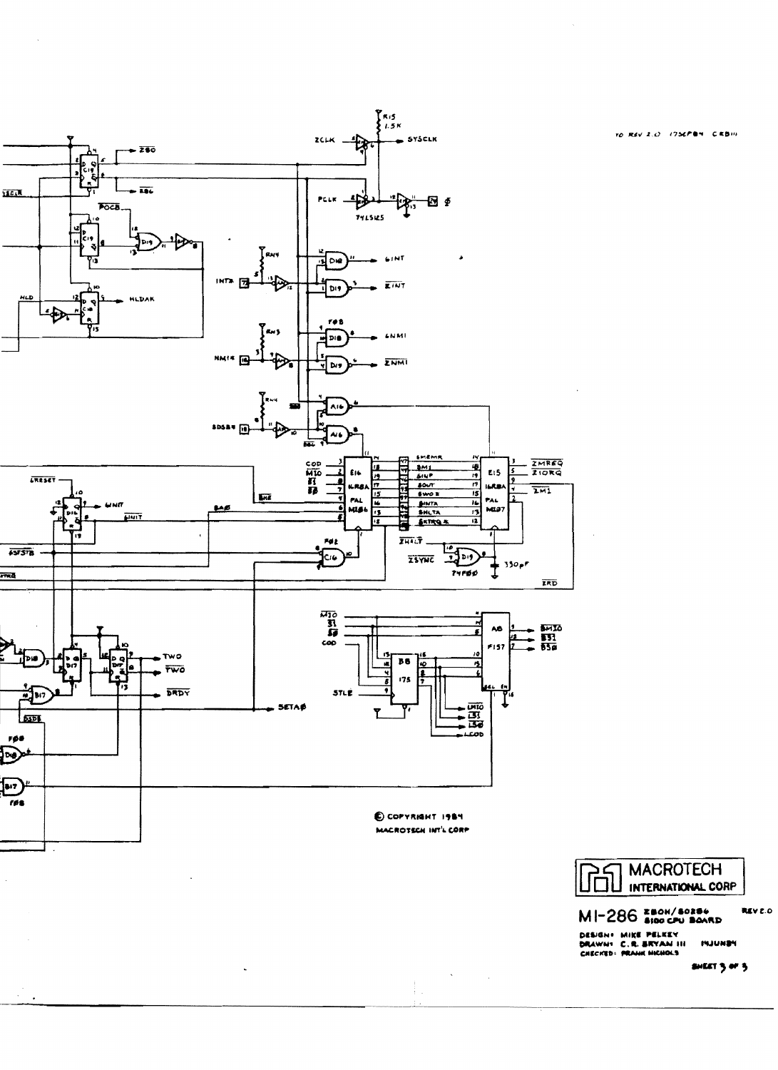

 $\ddot{\phantom{0}}$ 

TO REV 2.0 1756PM CRBIN

**MACROTECH** 币 INTERNATIONAL CORP

MI-286 280H/40286

DESIGN+ MIKE PELKEY<br>DRAWN+ C.R. BRYAN III<br>CHECKED+ PRAUK HIGHOLS **INJUNEY** 

 $\mathcal{A}^{\text{max}}_{\text{max}}$ 

 $\frac{1}{3}$  .

 $\sim 1$ 

**SHEET 3 or 5** 

REV.E.O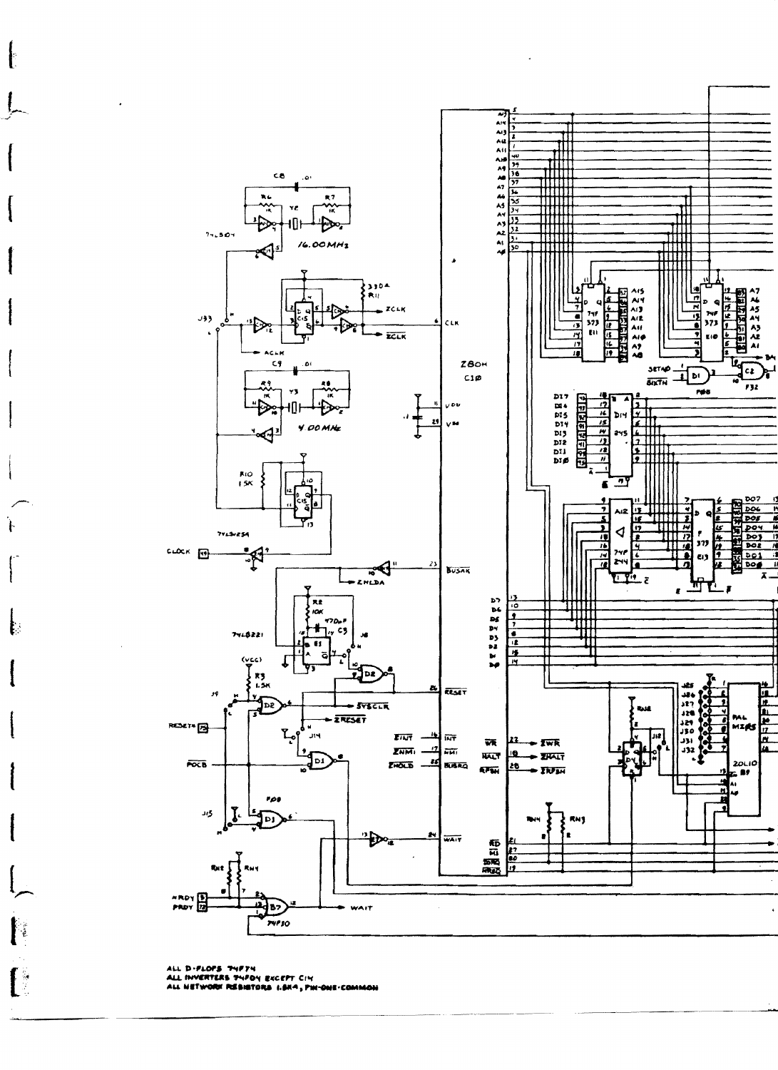

ALL D-FLOFS "PYF?"!<br>ALL INVERTERS THFOY EXCEPT CIY<br>ALL NETWORK RESISTORS I.SK4, PIN-ONE-COMMON

Ļ

Ï.

ि

 $\mathfrak l$